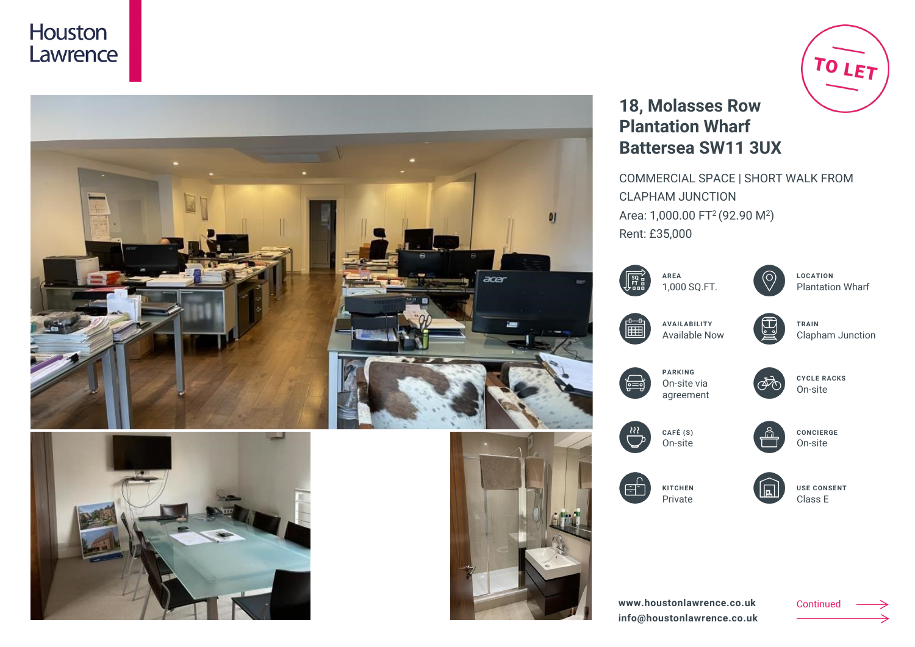



# TO LET

## **18, Molasses Row Plantation Wharf Battersea SW11 3UX**

COMMERCIAL SPACE | SHORT WALK FROM CLAPHAM JUNCTION Area: 1,000.00 FT<sup>2</sup> (92.90 M<sup>2</sup>) Rent: £35,000

|  | <b>ARFA</b>  |
|--|--------------|
|  | 1.000 SO.FT. |



**LOCATION** Plantation Wharf



**AVAILABILITY** Available Now

四 **TRAIN**

Clapham Junction



**PARKING**



**CYCLE RACKS** On-site



**CONCIERGE** On-site



**KITCHEN** Private



**USE CONSENT** Class E